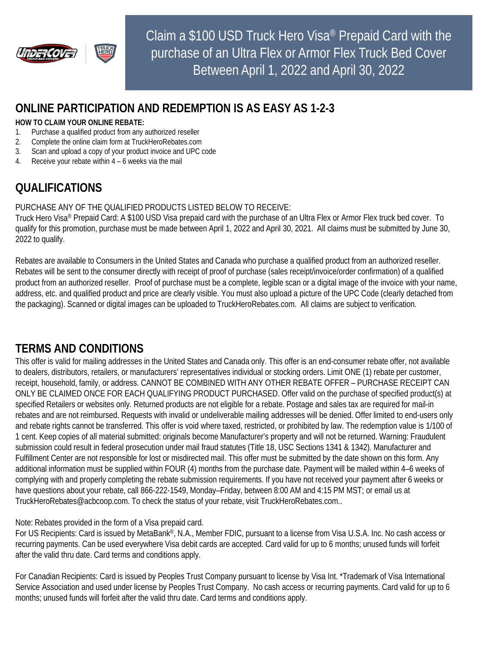

Claim a \$100 USD Truck Hero Visa® Prepaid Card with the purchase of an Ultra Flex or Armor Flex Truck Bed Cover Between April 1, 2022 and April 30, 2022

## **ONLINE PARTICIPATION AND REDEMPTION IS AS EASY AS 1-2-3**

#### **HOW TO CLAIM YOUR ONLINE REBATE:**

- 1. Purchase a qualified product from any authorized reseller
- 2. Complete the online claim form at TruckHeroRebates.com
- 3. Scan and upload a copy of your product invoice and UPC code
- 4. Receive your rebate within 4 6 weeks via the mail

# **QUALIFICATIONS**

#### PURCHASE ANY OF THE QUALIFIED PRODUCTS LISTED BELOW TO RECEIVE:

Truck Hero Visa® Prepaid Card: A \$100 USD Visa prepaid card with the purchase of an Ultra Flex or Armor Flex truck bed cover. To qualify for this promotion, purchase must be made between April 1, 2022 and April 30, 2021. All claims must be submitted by June 30, 2022 to qualify.

Rebates are available to Consumers in the United States and Canada who purchase a qualified product from an authorized reseller. Rebates will be sent to the consumer directly with receipt of proof of purchase (sales receipt/invoice/order confirmation) of a qualified product from an authorized reseller. Proof of purchase must be a complete, legible scan or a digital image of the invoice with your name, address, etc. and qualified product and price are clearly visible. You must also upload a picture of the UPC Code (clearly detached from the packaging). Scanned or digital images can be uploaded to TruckHeroRebates.com. All claims are subject to verification.

### **TERMS AND CONDITIONS**

This offer is valid for mailing addresses in the United States and Canada only. This offer is an end-consumer rebate offer, not available to dealers, distributors, retailers, or manufacturers' representatives individual or stocking orders. Limit ONE (1) rebate per customer, receipt, household, family, or address. CANNOT BE COMBINED WITH ANY OTHER REBATE OFFER – PURCHASE RECEIPT CAN ONLY BE CLAIMED ONCE FOR EACH QUALIFYING PRODUCT PURCHASED. Offer valid on the purchase of specified product(s) at specified Retailers or websites only. Returned products are not eligible for a rebate. Postage and sales tax are required for mail-in rebates and are not reimbursed. Requests with invalid or undeliverable mailing addresses will be denied. Offer limited to end-users only and rebate rights cannot be transferred. This offer is void where taxed, restricted, or prohibited by law. The redemption value is 1/100 of 1 cent. Keep copies of all material submitted: originals become Manufacturer's property and will not be returned. Warning: Fraudulent submission could result in federal prosecution under mail fraud statutes (Title 18, USC Sections 1341 & 1342). Manufacturer and Fulfillment Center are not responsible for lost or misdirected mail. This offer must be submitted by the date shown on this form. Any additional information must be supplied within FOUR (4) months from the purchase date. Payment will be mailed within 4–6 weeks of complying with and properly completing the rebate submission requirements. If you have not received your payment after 6 weeks or have questions about your rebate, call 866-222-1549, Monday–Friday, between 8:00 AM and 4:15 PM MST; or email us at TruckHeroRebates@acbcoop.com. To check the status of your rebate, visit TruckHeroRebates.com..

#### Note: Rebates provided in the form of a Visa prepaid card.

For US Recipients: Card is issued by MetaBank®, N.A., Member FDIC, pursuant to a license from Visa U.S.A. Inc. No cash access or recurring payments. Can be used everywhere Visa debit cards are accepted. Card valid for up to 6 months; unused funds will forfeit after the valid thru date. Card terms and conditions apply.

For Canadian Recipients: Card is issued by Peoples Trust Company pursuant to license by Visa Int. \*Trademark of Visa International Service Association and used under license by Peoples Trust Company. No cash access or recurring payments. Card valid for up to 6 months; unused funds will forfeit after the valid thru date. Card terms and conditions apply.